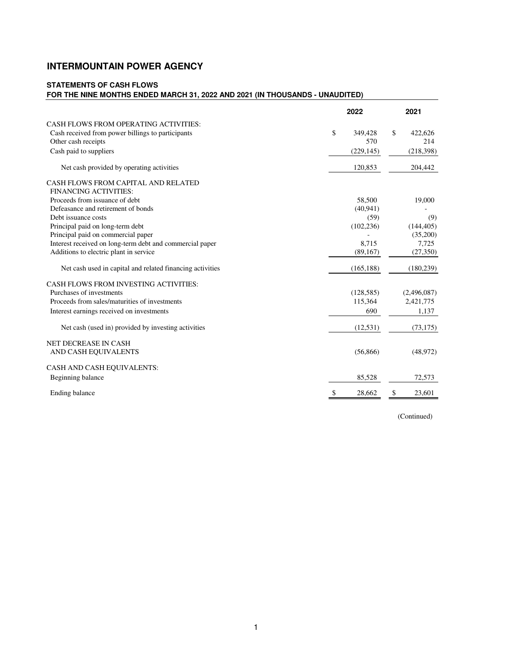# **INTERMOUNTAIN POWER AGENCY**

#### **STATEMENTS OF CASH FLOWS FOR THE NINE MONTHS ENDED MARCH 31, 2022 AND 2021 (IN THOUSANDS - UNAUDITED)**

|                                                           | 2022          | 2021          |
|-----------------------------------------------------------|---------------|---------------|
| CASH FLOWS FROM OPERATING ACTIVITIES:                     |               |               |
| Cash received from power billings to participants         | \$<br>349,428 | \$<br>422,626 |
| Other cash receipts                                       |               | 570<br>214    |
| Cash paid to suppliers                                    | (229, 145)    | (218, 398)    |
| Net cash provided by operating activities                 | 120,853       | 204,442       |
| CASH FLOWS FROM CAPITAL AND RELATED                       |               |               |
| <b>FINANCING ACTIVITIES:</b>                              |               |               |
| Proceeds from issuance of debt                            | 58,500        | 19,000        |
| Defeasance and retirement of bonds                        | (40, 941)     |               |
| Debt issuance costs                                       |               | (59)<br>(9)   |
| Principal paid on long-term debt                          | (102, 236)    | (144, 405)    |
| Principal paid on commercial paper                        |               | (35,200)      |
| Interest received on long-term debt and commercial paper  | 8,715         | 7,725         |
| Additions to electric plant in service                    | (89, 167)     | (27, 350)     |
| Net cash used in capital and related financing activities | (165, 188)    | (180, 239)    |
| <b>CASH FLOWS FROM INVESTING ACTIVITIES:</b>              |               |               |
| Purchases of investments                                  | (128, 585)    | (2,496,087)   |
| Proceeds from sales/maturities of investments             | 115,364       | 2,421,775     |
| Interest earnings received on investments                 |               | 1,137<br>690  |
| Net cash (used in) provided by investing activities       | (12, 531)     | (73, 175)     |
| <b>NET DECREASE IN CASH</b>                               |               |               |
| AND CASH EQUIVALENTS                                      | (56,866)      | (48, 972)     |
| CASH AND CASH EQUIVALENTS:                                |               |               |
| Beginning balance                                         | 85,528        | 72,573        |
| Ending balance                                            | \$<br>28,662  | \$<br>23,601  |

(Continued)